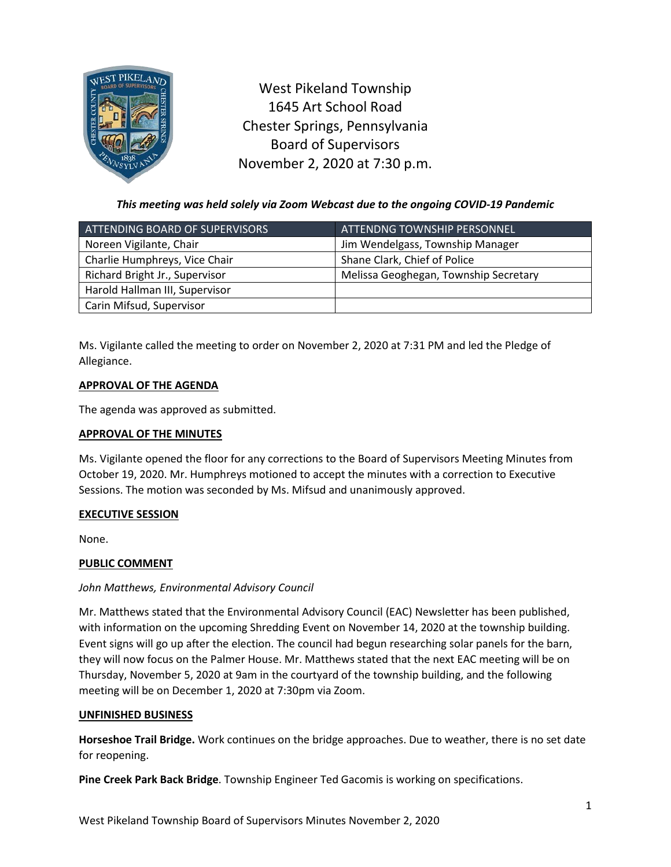

West Pikeland Township 1645 Art School Road Chester Springs, Pennsylvania Board of Supervisors November 2, 2020 at 7:30 p.m.

*This meeting was held solely via Zoom Webcast due to the ongoing COVID-19 Pandemic*

| ATTENDING BOARD OF SUPERVISORS | <b>ATTENDNG TOWNSHIP PERSONNEL</b>    |
|--------------------------------|---------------------------------------|
| Noreen Vigilante, Chair        | Jim Wendelgass, Township Manager      |
| Charlie Humphreys, Vice Chair  | Shane Clark, Chief of Police          |
| Richard Bright Jr., Supervisor | Melissa Geoghegan, Township Secretary |
| Harold Hallman III, Supervisor |                                       |
| Carin Mifsud, Supervisor       |                                       |

Ms. Vigilante called the meeting to order on November 2, 2020 at 7:31 PM and led the Pledge of Allegiance.

# **APPROVAL OF THE AGENDA**

The agenda was approved as submitted.

# **APPROVAL OF THE MINUTES**

Ms. Vigilante opened the floor for any corrections to the Board of Supervisors Meeting Minutes from October 19, 2020. Mr. Humphreys motioned to accept the minutes with a correction to Executive Sessions. The motion was seconded by Ms. Mifsud and unanimously approved.

# **EXECUTIVE SESSION**

None.

# **PUBLIC COMMENT**

# *John Matthews, Environmental Advisory Council*

Mr. Matthews stated that the Environmental Advisory Council (EAC) Newsletter has been published, with information on the upcoming Shredding Event on November 14, 2020 at the township building. Event signs will go up after the election. The council had begun researching solar panels for the barn, they will now focus on the Palmer House. Mr. Matthews stated that the next EAC meeting will be on Thursday, November 5, 2020 at 9am in the courtyard of the township building, and the following meeting will be on December 1, 2020 at 7:30pm via Zoom.

### **UNFINISHED BUSINESS**

**Horseshoe Trail Bridge.** Work continues on the bridge approaches. Due to weather, there is no set date for reopening.

**Pine Creek Park Back Bridge**. Township Engineer Ted Gacomis is working on specifications.